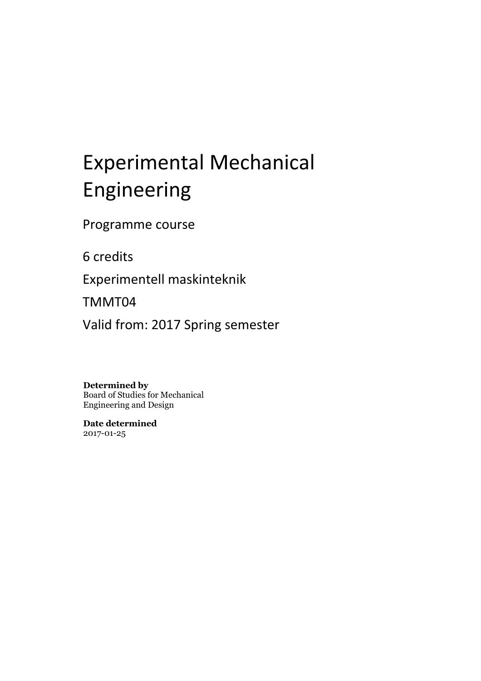# Experimental Mechanical Engineering

Programme course

6 credits

Experimentell maskinteknik

TMMT04

Valid from: 2017 Spring semester

**Determined by**

Board of Studies for Mechanical Engineering and Design

**Date determined** 2017-01-25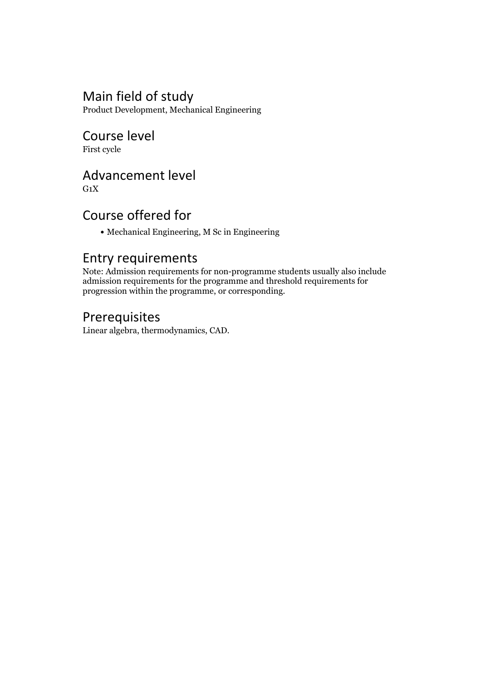## Main field of study

Product Development, Mechanical Engineering

## Course level

First cycle

## Advancement level

 $G_1X$ 

## Course offered for

Mechanical Engineering, M Sc in Engineering

#### Entry requirements

Note: Admission requirements for non-programme students usually also include admission requirements for the programme and threshold requirements for progression within the programme, or corresponding.

## Prerequisites

Linear algebra, thermodynamics, CAD.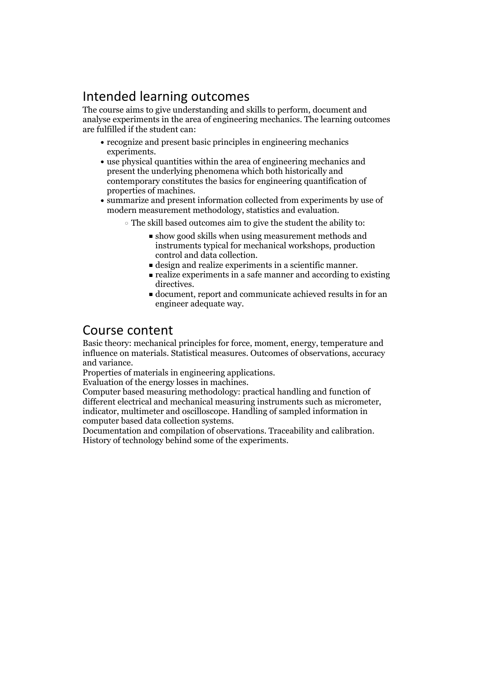## Intended learning outcomes

The course aims to give understanding and skills to perform, document and analyse experiments in the area of engineering mechanics. The learning outcomes are fulfilled if the student can:

- recognize and present basic principles in engineering mechanics experiments.<br>• use physical quantities within the area of engineering mechanics and
- present the underlying phenomena which both historically and contemporary constitutes the basics for engineering quantification of properties of machines.<br>• summarize and present information collected from experiments by use of
- modern measurement methodology, statistics and evaluation.
	- The skill based outcomes aim to give the student the ability to:
		- show good skills when using measurement methods and instruments typical for mechanical workshops, production
		-
		- $\blacksquare$  design and realize experiments in a scientific manner.<br> $\blacksquare$  realize experiments in a safe manner and according to existing
		- directives.<br>• document, report and communicate achieved results in for an engineer adequate way.

#### Course content

Basic theory: mechanical principles for force, moment, energy, temperature and influence on materials. Statistical measures. Outcomes of observations, accuracy

and variance. Properties of materials in engineering applications. Evaluation of the energy losses in machines. Computer based measuring methodology: practical handling and function of different electrical and mechanical measuring instruments such as micrometer, indicator, multimeter and oscilloscope. Handling of sampled information in

Documentation and compilation of observations. Traceability and calibration.<br>History of technology behind some of the experiments.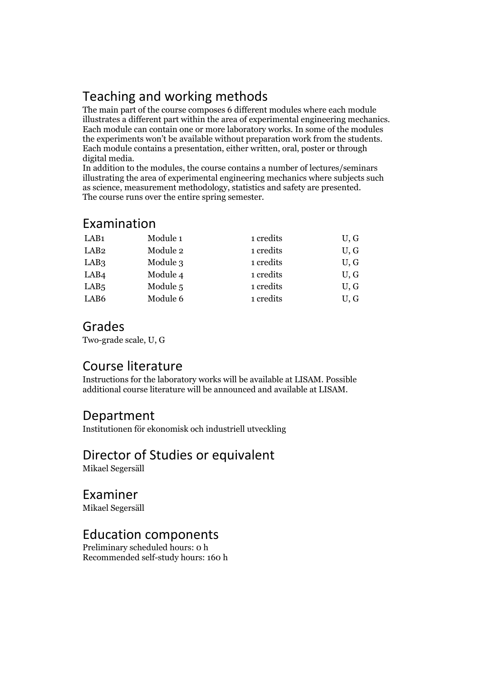## Teaching and working methods

The main part of the course composes 6 different modules where each module illustrates <sup>a</sup> different part within the area of experimental engineering mechanics. Each module can contain one or more laboratory works. In some of the modules the experiments won't be available without preparation work from the students. Each module contains <sup>a</sup> presentation, either written, oral, poster or through

In addition to the modules, the course contains a number of lectures/seminars illustrating the area of experimental engineering mechanics where subjects such as science, measurement methodology, statistics and safety are presented. The course runs over the entire spring semester.

#### Examination

| LAB <sub>1</sub> | Module 1 | 1 credits | U, G |
|------------------|----------|-----------|------|
| LAB <sub>2</sub> | Module 2 | 1 credits | U, G |
| LAB <sub>3</sub> | Module 3 | 1 credits | U, G |
| LAB <sub>4</sub> | Module 4 | 1 credits | U, G |
| LAB <sub>5</sub> | Module 5 | 1 credits | U, G |
| LAB6             | Module 6 | 1 credits | U, G |

#### Grades

Two-grade scale, U, G

#### Course literature

Instructions for the laboratory works will be available at LISAM. Possible additional course literature will be announced and available at LISAM.

#### Department

Institutionen för ekonomisk och industriell utveckling

## Director of Studies or equivalent

Mikael Segersäll

## Examiner

Mikael Segersäll

#### Education components

Preliminary scheduled hours: 0 h Recommended self-study hours: 160 h